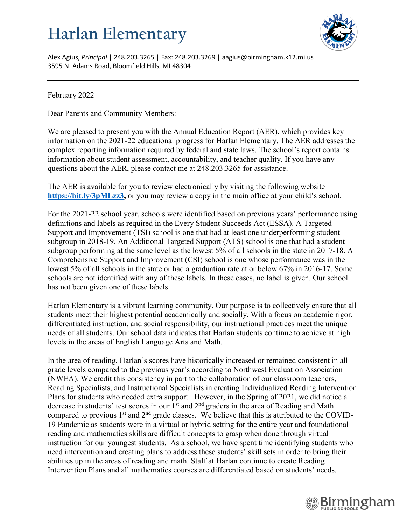## **Harlan Elementary**



Alex Agius, *Principal* | 248.203.3265 | Fax: 248.203.3269 | aagius@birmingham.k12.mi.us 3595 N. Adams Road, Bloomfield Hills, MI 48304

February 2022

Dear Parents and Community Members:

We are pleased to present you with the Annual Education Report (AER), which provides key information on the 2021-22 educational progress for Harlan Elementary. The AER addresses the complex reporting information required by federal and state laws. The school's report contains information about student assessment, accountability, and teacher quality. If you have any questions about the AER, please contact me at 248.203.3265 for assistance.

The AER is available for you to review electronically by visiting the following website [https://bit.ly/3pMLzz3,](https://bit.ly/3pMLzz3) or you may review a copy in the main office at your child's school.

For the 2021-22 school year, schools were identified based on previous years' performance using definitions and labels as required in the Every Student Succeeds Act (ESSA). A Targeted Support and Improvement (TSI) school is one that had at least one underperforming student subgroup in 2018-19. An Additional Targeted Support (ATS) school is one that had a student subgroup performing at the same level as the lowest 5% of all schools in the state in 2017-18. A Comprehensive Support and Improvement (CSI) school is one whose performance was in the lowest 5% of all schools in the state or had a graduation rate at or below 67% in 2016-17. Some schools are not identified with any of these labels. In these cases, no label is given. Our school has not been given one of these labels.

Harlan Elementary is a vibrant learning community. Our purpose is to collectively ensure that all students meet their highest potential academically and socially. With a focus on academic rigor, differentiated instruction, and social responsibility, our instructional practices meet the unique needs of all students. Our school data indicates that Harlan students continue to achieve at high levels in the areas of English Language Arts and Math.

In the area of reading, Harlan's scores have historically increased or remained consistent in all grade levels compared to the previous year's according to Northwest Evaluation Association (NWEA). We credit this consistency in part to the collaboration of our classroom teachers, Reading Specialists, and Instructional Specialists in creating Individualized Reading Intervention Plans for students who needed extra support. However, in the Spring of 2021, we did notice a decrease in students' test scores in our 1<sup>st</sup> and 2<sup>nd</sup> graders in the area of Reading and Math compared to previous  $1<sup>st</sup>$  and  $2<sup>nd</sup>$  grade classes. We believe that this is attributed to the COVID-19 Pandemic as students were in a virtual or hybrid setting for the entire year and foundational reading and mathematics skills are difficult concepts to grasp when done through virtual instruction for our youngest students. As a school, we have spent time identifying students who need intervention and creating plans to address these students' skill sets in order to bring their abilities up in the areas of reading and math. Staff at Harlan continue to create Reading Intervention Plans and all mathematics courses are differentiated based on students' needs.

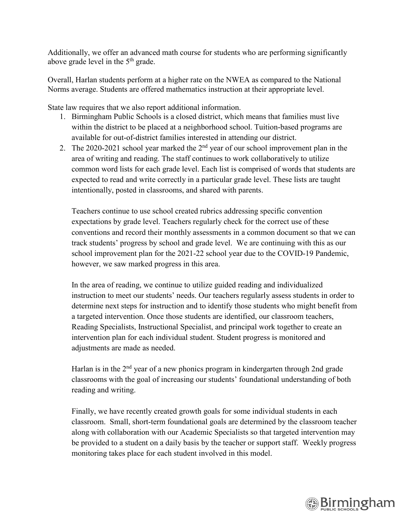Additionally, we offer an advanced math course for students who are performing significantly above grade level in the 5<sup>th</sup> grade.

Overall, Harlan students perform at a higher rate on the NWEA as compared to the National Norms average. Students are offered mathematics instruction at their appropriate level.

State law requires that we also report additional information.

- 1. Birmingham Public Schools is a closed district, which means that families must live within the district to be placed at a neighborhood school. Tuition-based programs are available for out-of-district families interested in attending our district.
- 2. The 2020-2021 school year marked the  $2<sup>nd</sup>$  year of our school improvement plan in the area of writing and reading. The staff continues to work collaboratively to utilize common word lists for each grade level. Each list is comprised of words that students are expected to read and write correctly in a particular grade level. These lists are taught intentionally, posted in classrooms, and shared with parents.

Teachers continue to use school created rubrics addressing specific convention expectations by grade level. Teachers regularly check for the correct use of these conventions and record their monthly assessments in a common document so that we can track students' progress by school and grade level. We are continuing with this as our school improvement plan for the 2021-22 school year due to the COVID-19 Pandemic, however, we saw marked progress in this area.

In the area of reading, we continue to utilize guided reading and individualized instruction to meet our students' needs. Our teachers regularly assess students in order to determine next steps for instruction and to identify those students who might benefit from a targeted intervention. Once those students are identified, our classroom teachers, Reading Specialists, Instructional Specialist, and principal work together to create an intervention plan for each individual student. Student progress is monitored and adjustments are made as needed.

Harlan is in the 2<sup>nd</sup> year of a new phonics program in kindergarten through 2nd grade classrooms with the goal of increasing our students' foundational understanding of both reading and writing.

Finally, we have recently created growth goals for some individual students in each classroom. Small, short-term foundational goals are determined by the classroom teacher along with collaboration with our Academic Specialists so that targeted intervention may be provided to a student on a daily basis by the teacher or support staff. Weekly progress monitoring takes place for each student involved in this model.

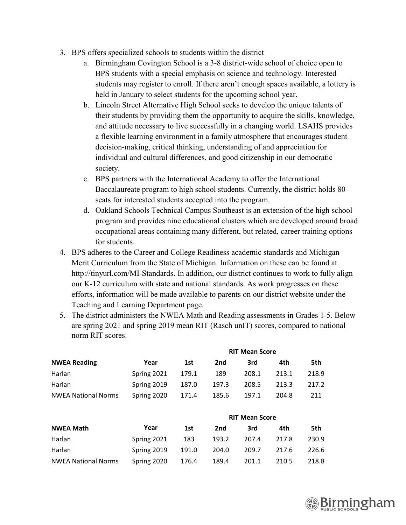- 3. BPS offers specialized schools to students within the district
	- a. Birmingham Covington School is a 3-8 district-wide school of choice open to BPS students with a special emphasis on science and technology. Interested students may register to enroll. If there aren't enough spaces available, a lottery is held in January to select students for the upcoming school year.
	- b. Lincoln Street Alternative High School seeks to develop the unique talents of their students by providing them the opportunity to acquire the skills, knowledge, and attitude necessary to live successfully in a changing world. LSAHS provides a flexible learning environment in a family atmosphere that encourages student decision-making, critical thinking, understanding of and appreciation for individual and cultural differences, and good citizenship in our democratic society.
	- c. BPS partners with the International Academy to offer the International Baccalaureate program to high school students. Currently, the district holds 80 seats for interested students accepted into the program.
	- d. Oakland Schools Technical Campus Southeast is an extension of the high school program and provides nine educational clusters which are developed around broad occupational areas containing many different, but related, career training options for students.
- 4. BPS adheres to the Career and College Readiness academic standards and Michigan Merit Curriculum from the State of Michigan. Information on these can be found at http://tinyurl.com/MI-Standards. In addition, our district continues to work to fully align our K-12 curriculum with state and national standards. As work progresses on these efforts, information will be made available to parents on our district website under the Teaching and Learning Department page.
- 5. The district administers the NWEA Math and Reading assessments in Grades 1-5. Below are spring 2021 and spring 2019 mean RIT (Rasch unIT) scores, compared to national norm RIT scores.

**RIT Mean Score**

| <b>NWEA Reading</b>        |             | KIT Mean Score |       |                       |       |       |
|----------------------------|-------------|----------------|-------|-----------------------|-------|-------|
|                            | Year        | 1st            | 2nd   | 3rd                   | 4th   | 5th   |
| Harlan                     | Spring 2021 | 179.1          | 189   | 208.1                 | 213.1 | 218.9 |
| Harlan                     | Spring 2019 | 187.0          | 197.3 | 208.5                 | 213.3 | 217.2 |
| <b>NWEA National Norms</b> | Spring 2020 | 171.4          | 185.6 | 197.1                 | 204.8 | 211   |
|                            |             |                |       |                       |       |       |
|                            |             |                |       | <b>RIT Mean Score</b> |       |       |
| <b>NWEA Math</b>           | Year        | 1st            | 2nd   | 3rd                   | 4th   | 5th   |
| Harlan                     | Spring 2021 | 183            | 193.2 | 207.4                 | 217.8 | 230.9 |
| Harlan                     | Spring 2019 | 191.0          | 204.0 | 209.7                 | 217.6 | 226.6 |
| <b>NWEA National Norms</b> | Spring 2020 | 176.4          | 189.4 | 201.1                 | 210.5 | 218.8 |